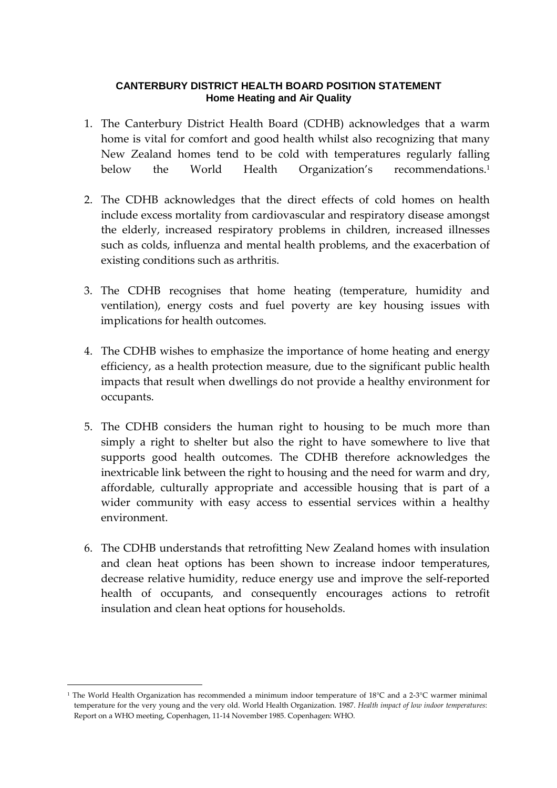## **CANTERBURY DISTRICT HEALTH BOARD POSITION STATEMENT Home Heating and Air Quality**

- 1. The Canterbury District Health Board (CDHB) acknowledges that a warm home is vital for comfort and good health whilst also recognizing that many New Zealand homes tend to be cold with temperatures regularly falling below the World Health Organization's recommendations.<sup>1</sup>
- 2. The CDHB acknowledges that the direct effects of cold homes on health include excess mortality from cardiovascular and respiratory disease amongst the elderly, increased respiratory problems in children, increased illnesses such as colds, influenza and mental health problems, and the exacerbation of existing conditions such as arthritis.
- 3. The CDHB recognises that home heating (temperature, humidity and ventilation), energy costs and fuel poverty are key housing issues with implications for health outcomes.
- 4. The CDHB wishes to emphasize the importance of home heating and energy efficiency, as a health protection measure, due to the significant public health impacts that result when dwellings do not provide a healthy environment for occupants.
- 5. The CDHB considers the human right to housing to be much more than simply a right to shelter but also the right to have somewhere to live that supports good health outcomes. The CDHB therefore acknowledges the inextricable link between the right to housing and the need for warm and dry, affordable, culturally appropriate and accessible housing that is part of a wider community with easy access to essential services within a healthy environment.
- 6. The CDHB understands that retrofitting New Zealand homes with insulation and clean heat options has been shown to increase indoor temperatures, decrease relative humidity, reduce energy use and improve the self-reported health of occupants, and consequently encourages actions to retrofit insulation and clean heat options for households.

 $\overline{a}$ 

<sup>1</sup> The World Health Organization has recommended a minimum indoor temperature of 18°C and a 2-3°C warmer minimal temperature for the very young and the very old. World Health Organization. 1987. Health impact of low indoor temperatures: Report on a WHO meeting, Copenhagen, 11-14 November 1985. Copenhagen: WHO.